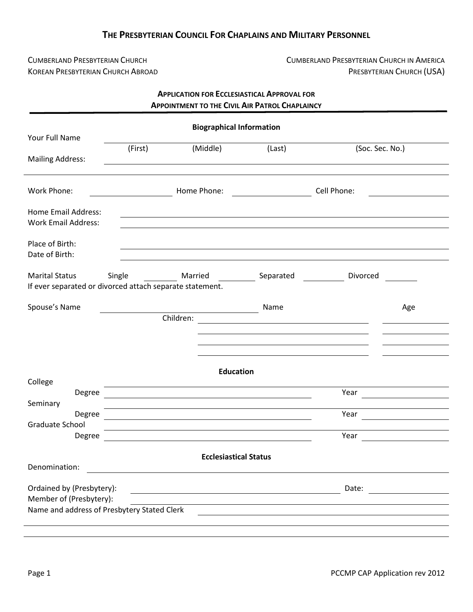## **THE PRESBYTERIAN COUNCIL FOR CHAPLAINS AND MILITARY PERSONNEL**

## CUMBERLAND PRESBYTERIAN CHURCH CUMBERLAND PRESBYTERIAN CHURCH IN AMERICA KOREAN PRESBYTERIAN CHURCH ABROAD **PRESBYTERIAN CHURCH** (USA)

| <b>APPLICATION FOR ECCLESIASTICAL APPROVAL FOR</b><br><b>APPOINTMENT TO THE CIVIL AIR PATROL CHAPLAINCY</b> |         |                                                                                                                                                                                                                               |                                                               |                                              |     |  |  |  |
|-------------------------------------------------------------------------------------------------------------|---------|-------------------------------------------------------------------------------------------------------------------------------------------------------------------------------------------------------------------------------|---------------------------------------------------------------|----------------------------------------------|-----|--|--|--|
| <b>Biographical Information</b><br>Your Full Name                                                           |         |                                                                                                                                                                                                                               |                                                               |                                              |     |  |  |  |
| <b>Mailing Address:</b>                                                                                     | (First) | (Middle)                                                                                                                                                                                                                      | (Last)                                                        | (Soc. Sec. No.)                              |     |  |  |  |
| Work Phone:                                                                                                 |         | Home Phone:                                                                                                                                                                                                                   |                                                               | Cell Phone:                                  |     |  |  |  |
| <b>Home Email Address:</b><br><b>Work Email Address:</b>                                                    |         |                                                                                                                                                                                                                               |                                                               |                                              |     |  |  |  |
| Place of Birth:<br>Date of Birth:                                                                           |         |                                                                                                                                                                                                                               |                                                               |                                              |     |  |  |  |
| <b>Marital Status</b><br>If ever separated or divorced attach separate statement.                           | Single  | Married                                                                                                                                                                                                                       | Separated                                                     | Divorced                                     |     |  |  |  |
| Spouse's Name                                                                                               |         | Children:                                                                                                                                                                                                                     | Name<br><u> 1980 - Johann Stein, fransk politik (d. 1980)</u> |                                              | Age |  |  |  |
| College                                                                                                     |         | <b>Education</b>                                                                                                                                                                                                              |                                                               |                                              |     |  |  |  |
| Degree<br>Seminary                                                                                          |         | the control of the control of the control of the control of the control of the control of the control of the control of the control of the control of the control of the control of the control of the control of the control |                                                               | Year                                         |     |  |  |  |
| Degree<br>Graduate School                                                                                   |         | <u> 1989 - Johann Stein, mars an deutscher Stein († 1989)</u><br><u> 1989 - Johann Stoff, deutscher Stoffen und der Stoffen und der Stoffen und der Stoffen und der Stoffen und der</u>                                       |                                                               | Year                                         |     |  |  |  |
| Degree                                                                                                      |         | <u> 1989 - Andrea Andrew Maria (h. 1989).</u>                                                                                                                                                                                 |                                                               | Year                                         |     |  |  |  |
| Denomination:                                                                                               |         | <b>Ecclesiastical Status</b>                                                                                                                                                                                                  |                                                               |                                              |     |  |  |  |
| Ordained by (Presbytery):<br>Member of (Presbytery):<br>Name and address of Presbytery Stated Clerk         |         | <u> 1980 - Johann Stoff, deutscher Stoff, der Stoff, der Stoff, der Stoff, der Stoff, der Stoff, der Stoff, der S</u>                                                                                                         | Date:                                                         | <u> 1989 - John Stein, mars and de la po</u> |     |  |  |  |